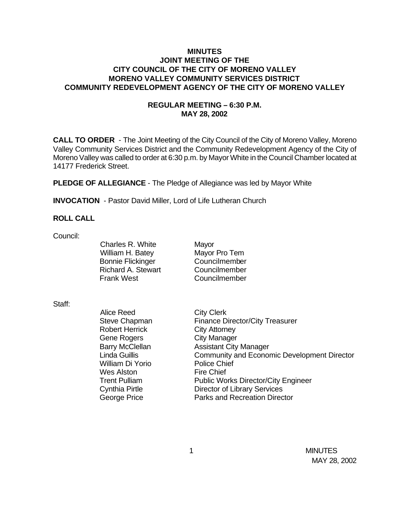## **MINUTES JOINT MEETING OF THE CITY COUNCIL OF THE CITY OF MORENO VALLEY MORENO VALLEY COMMUNITY SERVICES DISTRICT COMMUNITY REDEVELOPMENT AGENCY OF THE CITY OF MORENO VALLEY**

# **REGULAR MEETING – 6:30 P.M. MAY 28, 2002**

**CALL TO ORDER** - The Joint Meeting of the City Council of the City of Moreno Valley, Moreno Valley Community Services District and the Community Redevelopment Agency of the City of Moreno Valley was called to order at 6:30 p.m. by Mayor White in the Council Chamber located at 14177 Frederick Street.

**PLEDGE OF ALLEGIANCE** - The Pledge of Allegiance was led by Mayor White

**INVOCATION** - Pastor David Miller, Lord of Life Lutheran Church

### **ROLL CALL**

Council:

Charles R. White Mayor William H. Batey Mayor Pro Tem Bonnie Flickinger Councilmember Richard A. Stewart Councilmember Frank West Councilmember

#### Staff:

Alice Reed City Clerk Robert Herrick City Attorney Gene Rogers<br>
Barry McClellan<br>
Assistant City William Di Yorio Police Chief Wes Alston Fire Chief

Steve Chapman Finance Director/City Treasurer **Assistant City Manager** Linda Guillis Community and Economic Development Director Trent Pulliam Public Works Director/City Engineer Cynthia Pirtle Director of Library Services George Price **Parks** and Recreation Director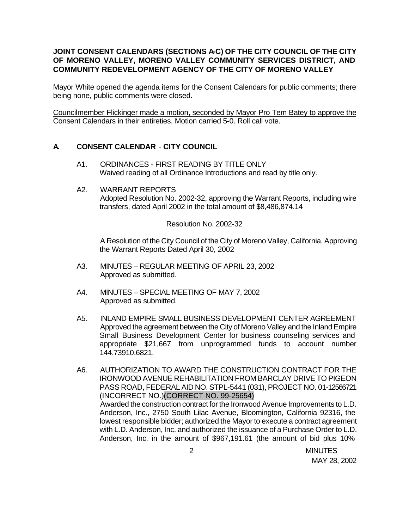# **JOINT CONSENT CALENDARS (SECTIONS A-C) OF THE CITY COUNCIL OF THE CITY OF MORENO VALLEY, MORENO VALLEY COMMUNITY SERVICES DISTRICT, AND COMMUNITY REDEVELOPMENT AGENCY OF THE CITY OF MORENO VALLEY**

Mayor White opened the agenda items for the Consent Calendars for public comments; there being none, public comments were closed.

Councilmember Flickinger made a motion, seconded by Mayor Pro Tem Batey to approve the Consent Calendars in their entireties. Motion carried 5-0. Roll call vote.

## **A. CONSENT CALENDAR** - **CITY COUNCIL**

- A1. ORDINANCES FIRST READING BY TITLE ONLY Waived reading of all Ordinance Introductions and read by title only.
- A2. WARRANT REPORTS Adopted Resolution No. 2002-32, approving the Warrant Reports, including wire transfers, dated April 2002 in the total amount of \$8,486,874.14

## Resolution No. 2002-32

A Resolution of the City Council of the City of Moreno Valley, California, Approving the Warrant Reports Dated April 30, 2002

- A3. MINUTES REGULAR MEETING OF APRIL 23, 2002 Approved as submitted.
- A4. MINUTES SPECIAL MEETING OF MAY 7, 2002 Approved as submitted.
- A5. INLAND EMPIRE SMALL BUSINESS DEVELOPMENT CENTER AGREEMENT Approved the agreement between the City of Moreno Valley and the Inland Empire Small Business Development Center for business counseling services and appropriate \$21,667 from unprogrammed funds to account number 144.73910.6821.

A6. AUTHORIZATION TO AWARD THE CONSTRUCTION CONTRACT FOR THE IRONWOOD AVENUE REHABILITATION FROM BARCLAY DRIVE TO PIGEON PASS ROAD, FEDERAL AID NO. STPL-5441 (031), PROJECT NO. 01-12566721 (INCORRECT NO.)(CORRECT NO. 99-25654) Awarded the construction contract for the Ironwood Avenue Improvements to L.D. Anderson, Inc., 2750 South Lilac Avenue, Bloomington, California 92316, the lowest responsible bidder; authorized the Mayor to execute a contract agreement with L.D. Anderson, Inc. and authorized the issuance of a Purchase Order to L.D. Anderson, Inc. in the amount of \$967,191.61 (the amount of bid plus 10%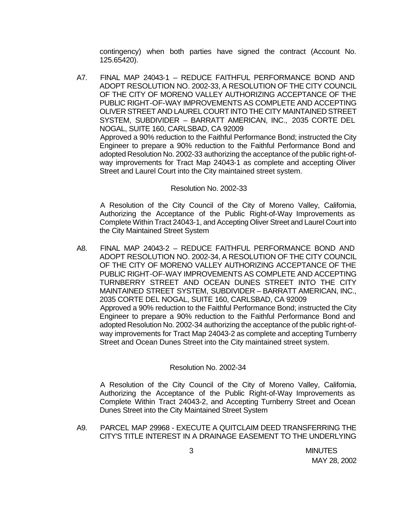contingency) when both parties have signed the contract (Account No. 125.65420).

A7. FINAL MAP 24043-1 – REDUCE FAITHFUL PERFORMANCE BOND AND ADOPT RESOLUTION NO. 2002-33, A RESOLUTION OF THE CITY COUNCIL OF THE CITY OF MORENO VALLEY AUTHORIZING ACCEPTANCE OF THE PUBLIC RIGHT-OF-WAY IMPROVEMENTS AS COMPLETE AND ACCEPTING OLIVER STREET AND LAUREL COURT INTO THE CITY MAINTAINED STREET SYSTEM, SUBDIVIDER – BARRATT AMERICAN, INC., 2035 CORTE DEL NOGAL, SUITE 160, CARLSBAD, CA 92009 Approved a 90% reduction to the Faithful Performance Bond; instructed the City

Engineer to prepare a 90% reduction to the Faithful Performance Bond and adopted Resolution No. 2002-33 authorizing the acceptance of the public right-ofway improvements for Tract Map 24043-1 as complete and accepting Oliver Street and Laurel Court into the City maintained street system.

### Resolution No. 2002-33

A Resolution of the City Council of the City of Moreno Valley, California, Authorizing the Acceptance of the Public Right-of-Way Improvements as Complete Within Tract 24043-1, and Accepting Oliver Street and Laurel Court into the City Maintained Street System

A8. FINAL MAP 24043-2 – REDUCE FAITHFUL PERFORMANCE BOND AND ADOPT RESOLUTION NO. 2002-34, A RESOLUTION OF THE CITY COUNCIL OF THE CITY OF MORENO VALLEY AUTHORIZING ACCEPTANCE OF THE PUBLIC RIGHT-OF-WAY IMPROVEMENTS AS COMPLETE AND ACCEPTING TURNBERRY STREET AND OCEAN DUNES STREET INTO THE CITY MAINTAINED STREET SYSTEM, SUBDIVIDER – BARRATT AMERICAN, INC., 2035 CORTE DEL NOGAL, SUITE 160, CARLSBAD, CA 92009 Approved a 90% reduction to the Faithful Performance Bond; instructed the City Engineer to prepare a 90% reduction to the Faithful Performance Bond and adopted Resolution No. 2002-34 authorizing the acceptance of the public right-ofway improvements for Tract Map 24043-2 as complete and accepting Turnberry Street and Ocean Dunes Street into the City maintained street system.

### Resolution No. 2002-34

A Resolution of the City Council of the City of Moreno Valley, California, Authorizing the Acceptance of the Public Right-of-Way Improvements as Complete Within Tract 24043-2, and Accepting Turnberry Street and Ocean Dunes Street into the City Maintained Street System

A9. PARCEL MAP 29968 - EXECUTE A QUITCLAIM DEED TRANSFERRING THE CITY'S TITLE INTEREST IN A DRAINAGE EASEMENT TO THE UNDERLYING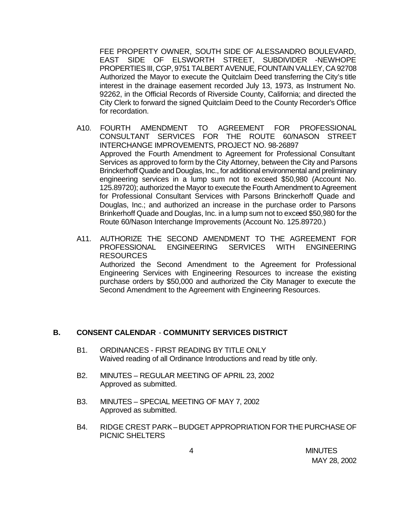FEE PROPERTY OWNER, SOUTH SIDE OF ALESSANDRO BOULEVARD, EAST SIDE OF ELSWORTH STREET, SUBDIVIDER -NEWHOPE PROPERTIES III, CGP, 9751 TALBERT AVENUE, FOUNTAIN VALLEY, CA 92708 Authorized the Mayor to execute the Quitclaim Deed transferring the City's title interest in the drainage easement recorded July 13, 1973, as Instrument No. 92262, in the Official Records of Riverside County, California; and directed the City Clerk to forward the signed Quitclaim Deed to the County Recorder's Office for recordation.

- A10. FOURTH AMENDMENT TO AGREEMENT FOR PROFESSIONAL CONSULTANT SERVICES FOR THE ROUTE 60/NASON STREET INTERCHANGE IMPROVEMENTS, PROJECT NO. 98-26897 Approved the Fourth Amendment to Agreement for Professional Consultant Services as approved to form by the City Attorney, between the City and Parsons Brinckerhoff Quade and Douglas, Inc., for additional environmental and preliminary engineering services in a lump sum not to exceed \$50,980 (Account No. 125.89720); authorized the Mayor to execute the Fourth Amendment to Agreement for Professional Consultant Services with Parsons Brinckerhoff Quade and Douglas, Inc.; and authorized an increase in the purchase order to Parsons Brinkerhoff Quade and Douglas, Inc. in a lump sum not to exceed \$50,980 for the Route 60/Nason Interchange Improvements (Account No. 125.89720.)
- A11. AUTHORIZE THE SECOND AMENDMENT TO THE AGREEMENT FOR PROFESSIONAL ENGINEERING SERVICES WITH ENGINEERING RESOURCES Authorized the Second Amendment to the Agreement for Professional Engineering Services with Engineering Resources to increase the existing purchase orders by \$50,000 and authorized the City Manager to execute the Second Amendment to the Agreement with Engineering Resources.

## **B. CONSENT CALENDAR** - **COMMUNITY SERVICES DISTRICT**

- B1. ORDINANCES FIRST READING BY TITLE ONLY Waived reading of all Ordinance Introductions and read by title only.
- B2. MINUTES REGULAR MEETING OF APRIL 23, 2002 Approved as submitted.
- B3. MINUTES SPECIAL MEETING OF MAY 7, 2002 Approved as submitted.
- B4. RIDGE CREST PARK BUDGET APPROPRIATION FOR THE PURCHASE OF PICNIC SHELTERS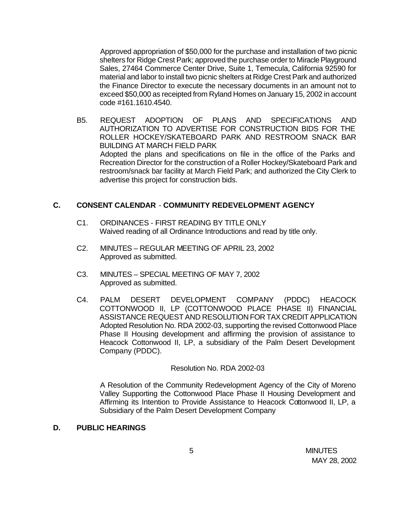Approved appropriation of \$50,000 for the purchase and installation of two picnic shelters for Ridge Crest Park; approved the purchase order to Miracle Playground Sales, 27464 Commerce Center Drive, Suite 1, Temecula, California 92590 for material and labor to install two picnic shelters at Ridge Crest Park and authorized the Finance Director to execute the necessary documents in an amount not to exceed \$50,000 as receipted from Ryland Homes on January 15, 2002 in account code #161.1610.4540.

B5. REQUEST ADOPTION OF PLANS AND SPECIFICATIONS AND AUTHORIZATION TO ADVERTISE FOR CONSTRUCTION BIDS FOR THE ROLLER HOCKEY/SKATEBOARD PARK AND RESTROOM SNACK BAR BUILDING AT MARCH FIELD PARK Adopted the plans and specifications on file in the office of the Parks and Recreation Director for the construction of a Roller Hockey/Skateboard Park and restroom/snack bar facility at March Field Park; and authorized the City Clerk to advertise this project for construction bids.

## **C. CONSENT CALENDAR** - **COMMUNITY REDEVELOPMENT AGENCY**

- C1. ORDINANCES FIRST READING BY TITLE ONLY Waived reading of all Ordinance Introductions and read by title only.
- C2. MINUTES REGULAR MEETING OF APRIL 23, 2002 Approved as submitted.
- C3. MINUTES SPECIAL MEETING OF MAY 7, 2002 Approved as submitted.
- C4. PALM DESERT DEVELOPMENT COMPANY (PDDC) HEACOCK COTTONWOOD II, LP (COTTONWOOD PLACE PHASE II) FINANCIAL ASSISTANCE REQUEST AND RESOLUTION FOR TAX CREDIT APPLICATION Adopted Resolution No. RDA 2002-03, supporting the revised Cottonwood Place Phase II Housing development and affirming the provision of assistance to Heacock Cottonwood II, LP, a subsidiary of the Palm Desert Development Company (PDDC).

### Resolution No. RDA 2002-03

A Resolution of the Community Redevelopment Agency of the City of Moreno Valley Supporting the Cottonwood Place Phase II Housing Development and Affirming its Intention to Provide Assistance to Heacock Cottonwood II, LP, a Subsidiary of the Palm Desert Development Company

## **D. PUBLIC HEARINGS**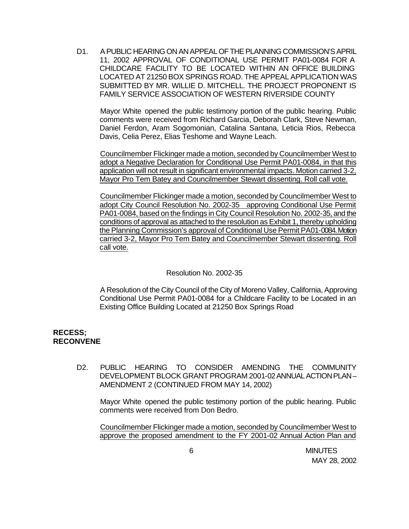D1. A PUBLIC HEARING ON AN APPEAL OF THE PLANNING COMMISSION'S APRIL 11, 2002 APPROVAL OF CONDITIONAL USE PERMIT PA01-0084 FOR A CHILDCARE FACILITY TO BE LOCATED WITHIN AN OFFICE BUILDING LOCATED AT 21250 BOX SPRINGS ROAD. THE APPEAL APPLICATION WAS SUBMITTED BY MR. WILLIE D. MITCHELL. THE PROJECT PROPONENT IS FAMILY SERVICE ASSOCIATION OF WESTERN RIVERSIDE COUNTY

Mayor White opened the public testimony portion of the public hearing. Public comments were received from Richard Garcia, Deborah Clark, Steve Newman, Daniel Ferdon, Aram Sogomonian, Catalina Santana, Leticia Rios, Rebecca Davis, Celia Perez, Elias Teshome and Wayne Leach.

Councilmember Flickinger made a motion, seconded by Councilmember West to adopt a Negative Declaration for Conditional Use Permit PA01-0084, in that this application will not result in significant environmental impacts. Motion carried 3-2, Mayor Pro Tem Batey and Councilmember Stewart dissenting. Roll call vote.

Councilmember Flickinger made a motion, seconded by Councilmember West to adopt City Council Resolution No. 2002-35 approving Conditional Use Permit PA01-0084, based on the findings in City Council Resolution No. 2002-35, and the conditions of approval as attached to the resolution as Exhibit 1, thereby upholding the Planning Commission's approval of Conditional Use Permit PA01-0084. Motion carried 3-2, Mayor Pro Tem Batey and Councilmember Stewart dissenting. Roll call vote.

### Resolution No. 2002-35

A Resolution of the City Council of the City of Moreno Valley, California, Approving Conditional Use Permit PA01-0084 for a Childcare Facility to be Located in an Existing Office Building Located at 21250 Box Springs Road

## **RECESS; RECONVENE**

D2. PUBLIC HEARING TO CONSIDER AMENDING THE COMMUNITY DEVELOPMENT BLOCK GRANT PROGRAM 2001-02 ANNUAL ACTION PLAN – AMENDMENT 2 (CONTINUED FROM MAY 14, 2002)

Mayor White opened the public testimony portion of the public hearing. Public comments were received from Don Bedro.

Councilmember Flickinger made a motion, seconded by Councilmember West to approve the proposed amendment to the FY 2001-02 Annual Action Plan and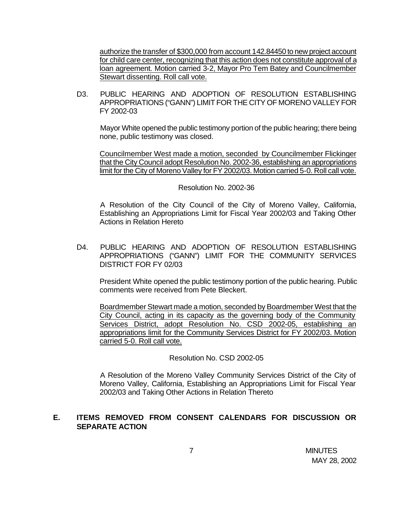authorize the transfer of \$300,000 from account 142.84450 to new project account for child care center, recognizing that this action does not constitute approval of a loan agreement. Motion carried 3-2, Mayor Pro Tem Batey and Councilmember Stewart dissenting. Roll call vote.

D3. PUBLIC HEARING AND ADOPTION OF RESOLUTION ESTABLISHING APPROPRIATIONS ("GANN") LIMIT FOR THE CITY OF MORENO VALLEY FOR FY 2002-03

Mayor White opened the public testimony portion of the public hearing; there being none, public testimony was closed.

Councilmember West made a motion, seconded by Councilmember Flickinger that the City Council adopt Resolution No. 2002-36, establishing an appropriations limit for the City of Moreno Valley for FY 2002/03. Motion carried 5-0. Roll call vote.

#### Resolution No. 2002-36

A Resolution of the City Council of the City of Moreno Valley, California, Establishing an Appropriations Limit for Fiscal Year 2002/03 and Taking Other Actions in Relation Hereto

D4. PUBLIC HEARING AND ADOPTION OF RESOLUTION ESTABLISHING APPROPRIATIONS ("GANN") LIMIT FOR THE COMMUNITY SERVICES DISTRICT FOR FY 02/03

President White opened the public testimony portion of the public hearing. Public comments were received from Pete Bleckert.

Boardmember Stewart made a motion, seconded by Boardmember West that the City Council, acting in its capacity as the governing body of the Community Services District, adopt Resolution No. CSD 2002-05, establishing an appropriations limit for the Community Services District for FY 2002/03. Motion carried 5-0. Roll call vote.

### Resolution No. CSD 2002-05

A Resolution of the Moreno Valley Community Services District of the City of Moreno Valley, California, Establishing an Appropriations Limit for Fiscal Year 2002/03 and Taking Other Actions in Relation Thereto

# **E. ITEMS REMOVED FROM CONSENT CALENDARS FOR DISCUSSION OR SEPARATE ACTION**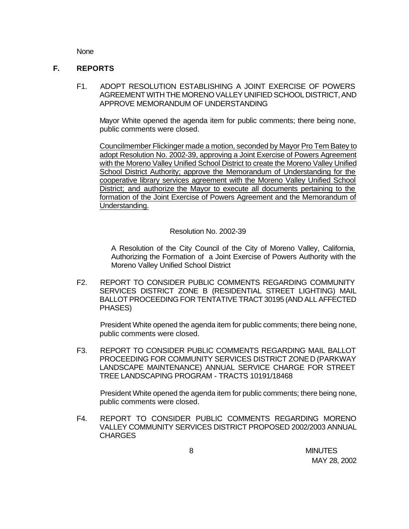None

### **F. REPORTS**

F1. ADOPT RESOLUTION ESTABLISHING A JOINT EXERCISE OF POWERS AGREEMENT WITH THE MORENO VALLEY UNIFIED SCHOOL DISTRICT, AND APPROVE MEMORANDUM OF UNDERSTANDING

Mayor White opened the agenda item for public comments; there being none, public comments were closed.

Councilmember Flickinger made a motion, seconded by Mayor Pro Tem Batey to adopt Resolution No. 2002-39, approving a Joint Exercise of Powers Agreement with the Moreno Valley Unified School District to create the Moreno Valley Unified School District Authority; approve the Memorandum of Understanding for the cooperative library services agreement with the Moreno Valley Unified School District; and authorize the Mayor to execute all documents pertaining to the formation of the Joint Exercise of Powers Agreement and the Memorandum of Understanding.

### Resolution No. 2002-39

A Resolution of the City Council of the City of Moreno Valley, California, Authorizing the Formation of a Joint Exercise of Powers Authority with the Moreno Valley Unified School District

F2. REPORT TO CONSIDER PUBLIC COMMENTS REGARDING COMMUNITY SERVICES DISTRICT ZONE B (RESIDENTIAL STREET LIGHTING) MAIL BALLOT PROCEEDING FOR TENTATIVE TRACT 30195 (AND ALL AFFECTED PHASES)

President White opened the agenda item for public comments; there being none, public comments were closed.

F3. REPORT TO CONSIDER PUBLIC COMMENTS REGARDING MAIL BALLOT PROCEEDING FOR COMMUNITY SERVICES DISTRICT ZONE D (PARKWAY LANDSCAPE MAINTENANCE) ANNUAL SERVICE CHARGE FOR STREET TREE LANDSCAPING PROGRAM - TRACTS 10191/18468

President White opened the agenda item for public comments; there being none, public comments were closed.

F4. REPORT TO CONSIDER PUBLIC COMMENTS REGARDING MORENO VALLEY COMMUNITY SERVICES DISTRICT PROPOSED 2002/2003 ANNUAL CHARGES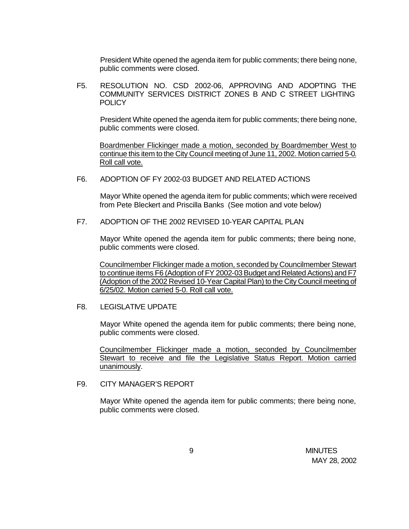President White opened the agenda item for public comments; there being none, public comments were closed.

F5. RESOLUTION NO. CSD 2002-06, APPROVING AND ADOPTING THE COMMUNITY SERVICES DISTRICT ZONES B AND C STREET LIGHTING **POLICY** 

President White opened the agenda item for public comments; there being none, public comments were closed.

Boardmenber Flickinger made a motion, seconded by Boardmember West to continue this item to the City Council meeting of June 11, 2002. Motion carried 5-0. Roll call vote.

F6. ADOPTION OF FY 2002-03 BUDGET AND RELATED ACTIONS

Mayor White opened the agenda item for public comments; which were received from Pete Bleckert and Priscilla Banks (See motion and vote below)

F7. ADOPTION OF THE 2002 REVISED 10-YEAR CAPITAL PLAN

Mayor White opened the agenda item for public comments; there being none, public comments were closed.

Councilmember Flickinger made a motion, seconded by Councilmember Stewart to continue items F6 (Adoption of FY 2002-03 Budget and Related Actions) and F7 (Adoption of the 2002 Revised 10-Year Capital Plan) to the City Council meeting of 6/25/02. Motion carried 5-0. Roll call vote.

F8. LEGISLATIVE UPDATE

Mayor White opened the agenda item for public comments; there being none, public comments were closed.

Councilmember Flickinger made a motion, seconded by Councilmember Stewart to receive and file the Legislative Status Report. Motion carried unanimously.

## F9. CITY MANAGER'S REPORT

Mayor White opened the agenda item for public comments; there being none, public comments were closed.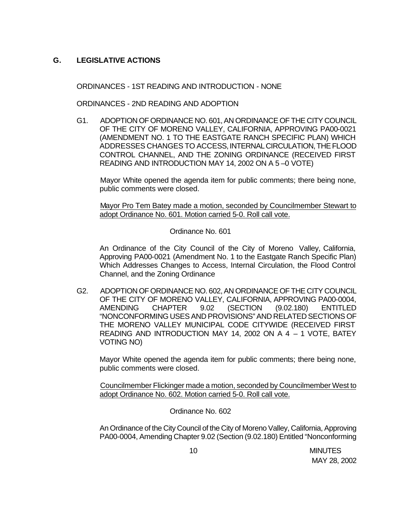# **G. LEGISLATIVE ACTIONS**

ORDINANCES - 1ST READING AND INTRODUCTION - NONE

ORDINANCES - 2ND READING AND ADOPTION

G1. ADOPTION OF ORDINANCE NO. 601, AN ORDINANCE OF THE CITY COUNCIL OF THE CITY OF MORENO VALLEY, CALIFORNIA, APPROVING PA00-0021 (AMENDMENT NO. 1 TO THE EASTGATE RANCH SPECIFIC PLAN) WHICH ADDRESSES CHANGES TO ACCESS, INTERNAL CIRCULATION, THE FLOOD CONTROL CHANNEL, AND THE ZONING ORDINANCE (RECEIVED FIRST READING AND INTRODUCTION MAY 14, 2002 ON A 5 –0 VOTE)

Mayor White opened the agenda item for public comments; there being none, public comments were closed.

Mayor Pro Tem Batey made a motion, seconded by Councilmember Stewart to adopt Ordinance No. 601. Motion carried 5-0. Roll call vote.

Ordinance No. 601

An Ordinance of the City Council of the City of Moreno Valley, California, Approving PA00-0021 (Amendment No. 1 to the Eastgate Ranch Specific Plan) Which Addresses Changes to Access, Internal Circulation, the Flood Control Channel, and the Zoning Ordinance

G2. ADOPTION OF ORDINANCE NO. 602, AN ORDINANCE OF THE CITY COUNCIL OF THE CITY OF MORENO VALLEY, CALIFORNIA, APPROVING PA00-0004, AMENDING CHAPTER 9.02 (SECTION (9.02.180) ENTITLED "NONCONFORMING USES AND PROVISIONS" AND RELATED SECTIONS OF THE MORENO VALLEY MUNICIPAL CODE CITYWIDE (RECEIVED FIRST READING AND INTRODUCTION MAY 14, 2002 ON A 4 – 1 VOTE, BATEY VOTING NO)

Mayor White opened the agenda item for public comments; there being none, public comments were closed.

Councilmember Flickinger made a motion, seconded by Councilmember West to adopt Ordinance No. 602. Motion carried 5-0. Roll call vote.

Ordinance No. 602

An Ordinance of the City Council of the City of Moreno Valley, California, Approving PA00-0004, Amending Chapter 9.02 (Section (9.02.180) Entitled "Nonconforming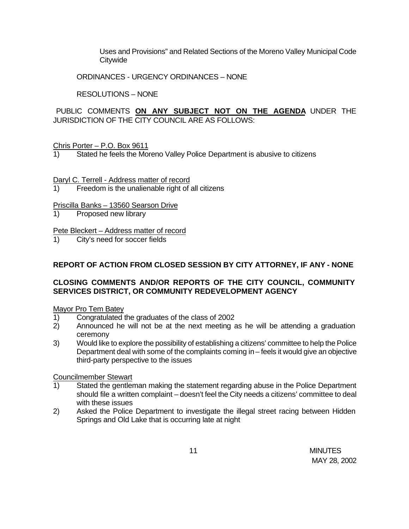Uses and Provisions" and Related Sections of the Moreno Valley Municipal Code **Citywide** 

ORDINANCES - URGENCY ORDINANCES – NONE

RESOLUTIONS – NONE

PUBLIC COMMENTS **ON ANY SUBJECT NOT ON THE AGENDA** UNDER THE JURISDICTION OF THE CITY COUNCIL ARE AS FOLLOWS:

### Chris Porter – P.O. Box 9611

1) Stated he feels the Moreno Valley Police Department is abusive to citizens

### Daryl C. Terrell - Address matter of record

1) Freedom is the unalienable right of all citizens

### Priscilla Banks – 13560 Searson Drive

1) Proposed new library

### Pete Bleckert – Address matter of record

1) City's need for soccer fields

## **REPORT OF ACTION FROM CLOSED SESSION BY CITY ATTORNEY, IF ANY - NONE**

# **CLOSING COMMENTS AND/OR REPORTS OF THE CITY COUNCIL, COMMUNITY SERVICES DISTRICT, OR COMMUNITY REDEVELOPMENT AGENCY**

### Mayor Pro Tem Batey

- 1) Congratulated the graduates of the class of 2002
- 2) Announced he will not be at the next meeting as he will be attending a graduation ceremony
- 3) Would like to explore the possibility of establishing a citizens' committee to help the Police Department deal with some of the complaints coming in – feels it would give an objective third-party perspective to the issues

### Councilmember Stewart

- 1) Stated the gentleman making the statement regarding abuse in the Police Department should file a written complaint – doesn't feel the City needs a citizens' committee to deal with these issues
- 2) Asked the Police Department to investigate the illegal street racing between Hidden Springs and Old Lake that is occurring late at night